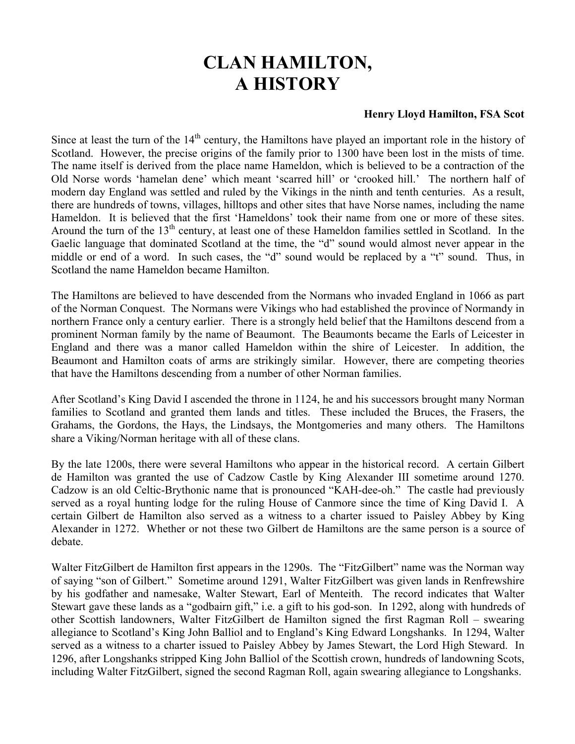## **CLAN HAMILTON, A HISTORY**

## **Henry Lloyd Hamilton, FSA Scot**

Since at least the turn of the  $14<sup>th</sup>$  century, the Hamiltons have played an important role in the history of Scotland. However, the precise origins of the family prior to 1300 have been lost in the mists of time. The name itself is derived from the place name Hameldon, which is believed to be a contraction of the Old Norse words 'hamelan dene' which meant 'scarred hill' or 'crooked hill.' The northern half of modern day England was settled and ruled by the Vikings in the ninth and tenth centuries. As a result, there are hundreds of towns, villages, hilltops and other sites that have Norse names, including the name Hameldon. It is believed that the first 'Hameldons' took their name from one or more of these sites. Around the turn of the  $13<sup>th</sup>$  century, at least one of these Hameldon families settled in Scotland. In the Gaelic language that dominated Scotland at the time, the "d" sound would almost never appear in the middle or end of a word. In such cases, the "d" sound would be replaced by a "t" sound. Thus, in Scotland the name Hameldon became Hamilton.

The Hamiltons are believed to have descended from the Normans who invaded England in 1066 as part of the Norman Conquest. The Normans were Vikings who had established the province of Normandy in northern France only a century earlier. There is a strongly held belief that the Hamiltons descend from a prominent Norman family by the name of Beaumont. The Beaumonts became the Earls of Leicester in England and there was a manor called Hameldon within the shire of Leicester. In addition, the Beaumont and Hamilton coats of arms are strikingly similar. However, there are competing theories that have the Hamiltons descending from a number of other Norman families.

After Scotland's King David I ascended the throne in 1124, he and his successors brought many Norman families to Scotland and granted them lands and titles. These included the Bruces, the Frasers, the Grahams, the Gordons, the Hays, the Lindsays, the Montgomeries and many others. The Hamiltons share a Viking/Norman heritage with all of these clans.

By the late 1200s, there were several Hamiltons who appear in the historical record. A certain Gilbert de Hamilton was granted the use of Cadzow Castle by King Alexander III sometime around 1270. Cadzow is an old Celtic-Brythonic name that is pronounced "KAH-dee-oh." The castle had previously served as a royal hunting lodge for the ruling House of Canmore since the time of King David I. A certain Gilbert de Hamilton also served as a witness to a charter issued to Paisley Abbey by King Alexander in 1272. Whether or not these two Gilbert de Hamiltons are the same person is a source of debate.

Walter FitzGilbert de Hamilton first appears in the 1290s. The "FitzGilbert" name was the Norman way of saying "son of Gilbert." Sometime around 1291, Walter FitzGilbert was given lands in Renfrewshire by his godfather and namesake, Walter Stewart, Earl of Menteith. The record indicates that Walter Stewart gave these lands as a "godbairn gift," i.e. a gift to his god-son. In 1292, along with hundreds of other Scottish landowners, Walter FitzGilbert de Hamilton signed the first Ragman Roll – swearing allegiance to Scotland's King John Balliol and to England's King Edward Longshanks. In 1294, Walter served as a witness to a charter issued to Paisley Abbey by James Stewart, the Lord High Steward. In 1296, after Longshanks stripped King John Balliol of the Scottish crown, hundreds of landowning Scots, including Walter FitzGilbert, signed the second Ragman Roll, again swearing allegiance to Longshanks.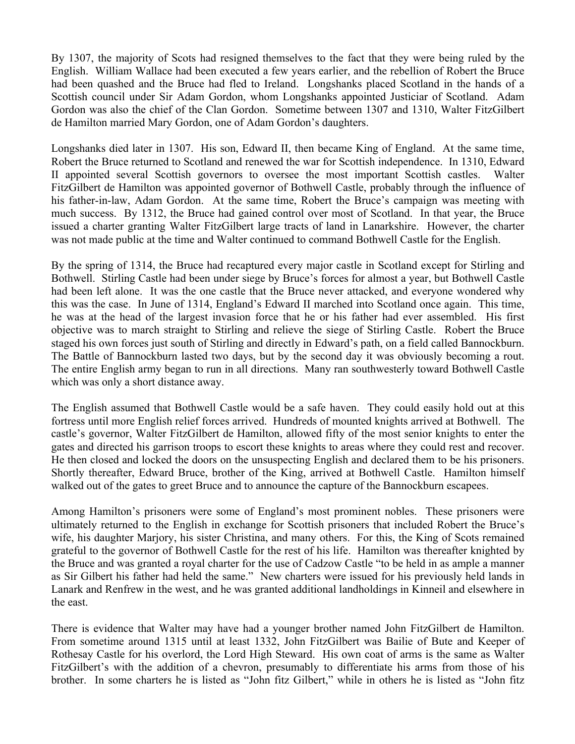By 1307, the majority of Scots had resigned themselves to the fact that they were being ruled by the English. William Wallace had been executed a few years earlier, and the rebellion of Robert the Bruce had been quashed and the Bruce had fled to Ireland. Longshanks placed Scotland in the hands of a Scottish council under Sir Adam Gordon, whom Longshanks appointed Justiciar of Scotland. Adam Gordon was also the chief of the Clan Gordon. Sometime between 1307 and 1310, Walter FitzGilbert de Hamilton married Mary Gordon, one of Adam Gordon's daughters.

Longshanks died later in 1307. His son, Edward II, then became King of England. At the same time, Robert the Bruce returned to Scotland and renewed the war for Scottish independence. In 1310, Edward II appointed several Scottish governors to oversee the most important Scottish castles. Walter FitzGilbert de Hamilton was appointed governor of Bothwell Castle, probably through the influence of his father-in-law, Adam Gordon. At the same time, Robert the Bruce's campaign was meeting with much success. By 1312, the Bruce had gained control over most of Scotland. In that year, the Bruce issued a charter granting Walter FitzGilbert large tracts of land in Lanarkshire. However, the charter was not made public at the time and Walter continued to command Bothwell Castle for the English.

By the spring of 1314, the Bruce had recaptured every major castle in Scotland except for Stirling and Bothwell. Stirling Castle had been under siege by Bruce's forces for almost a year, but Bothwell Castle had been left alone. It was the one castle that the Bruce never attacked, and everyone wondered why this was the case. In June of 1314, England's Edward II marched into Scotland once again. This time, he was at the head of the largest invasion force that he or his father had ever assembled. His first objective was to march straight to Stirling and relieve the siege of Stirling Castle. Robert the Bruce staged his own forces just south of Stirling and directly in Edward's path, on a field called Bannockburn. The Battle of Bannockburn lasted two days, but by the second day it was obviously becoming a rout. The entire English army began to run in all directions. Many ran southwesterly toward Bothwell Castle which was only a short distance away.

The English assumed that Bothwell Castle would be a safe haven. They could easily hold out at this fortress until more English relief forces arrived. Hundreds of mounted knights arrived at Bothwell. The castle's governor, Walter FitzGilbert de Hamilton, allowed fifty of the most senior knights to enter the gates and directed his garrison troops to escort these knights to areas where they could rest and recover. He then closed and locked the doors on the unsuspecting English and declared them to be his prisoners. Shortly thereafter, Edward Bruce, brother of the King, arrived at Bothwell Castle. Hamilton himself walked out of the gates to greet Bruce and to announce the capture of the Bannockburn escapees.

Among Hamilton's prisoners were some of England's most prominent nobles. These prisoners were ultimately returned to the English in exchange for Scottish prisoners that included Robert the Bruce's wife, his daughter Marjory, his sister Christina, and many others. For this, the King of Scots remained grateful to the governor of Bothwell Castle for the rest of his life. Hamilton was thereafter knighted by the Bruce and was granted a royal charter for the use of Cadzow Castle "to be held in as ample a manner as Sir Gilbert his father had held the same." New charters were issued for his previously held lands in Lanark and Renfrew in the west, and he was granted additional landholdings in Kinneil and elsewhere in the east.

There is evidence that Walter may have had a younger brother named John FitzGilbert de Hamilton. From sometime around 1315 until at least 1332, John FitzGilbert was Bailie of Bute and Keeper of Rothesay Castle for his overlord, the Lord High Steward. His own coat of arms is the same as Walter FitzGilbert's with the addition of a chevron, presumably to differentiate his arms from those of his brother. In some charters he is listed as "John fitz Gilbert," while in others he is listed as "John fitz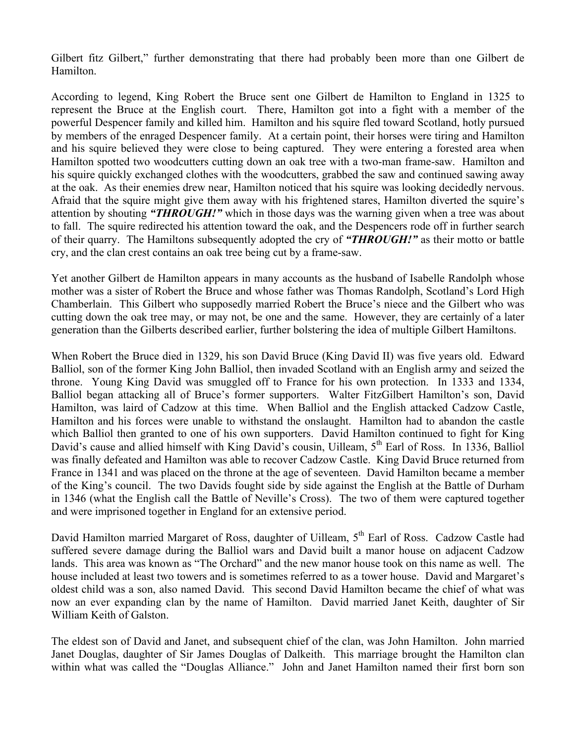Gilbert fitz Gilbert," further demonstrating that there had probably been more than one Gilbert de Hamilton.

According to legend, King Robert the Bruce sent one Gilbert de Hamilton to England in 1325 to represent the Bruce at the English court. There, Hamilton got into a fight with a member of the powerful Despencer family and killed him. Hamilton and his squire fled toward Scotland, hotly pursued by members of the enraged Despencer family. At a certain point, their horses were tiring and Hamilton and his squire believed they were close to being captured. They were entering a forested area when Hamilton spotted two woodcutters cutting down an oak tree with a two-man frame-saw. Hamilton and his squire quickly exchanged clothes with the woodcutters, grabbed the saw and continued sawing away at the oak. As their enemies drew near, Hamilton noticed that his squire was looking decidedly nervous. Afraid that the squire might give them away with his frightened stares, Hamilton diverted the squire's attention by shouting *"THROUGH!"* which in those days was the warning given when a tree was about to fall. The squire redirected his attention toward the oak, and the Despencers rode off in further search of their quarry. The Hamiltons subsequently adopted the cry of *"THROUGH!"* as their motto or battle cry, and the clan crest contains an oak tree being cut by a frame-saw.

Yet another Gilbert de Hamilton appears in many accounts as the husband of Isabelle Randolph whose mother was a sister of Robert the Bruce and whose father was Thomas Randolph, Scotland's Lord High Chamberlain. This Gilbert who supposedly married Robert the Bruce's niece and the Gilbert who was cutting down the oak tree may, or may not, be one and the same. However, they are certainly of a later generation than the Gilberts described earlier, further bolstering the idea of multiple Gilbert Hamiltons.

When Robert the Bruce died in 1329, his son David Bruce (King David II) was five years old. Edward Balliol, son of the former King John Balliol, then invaded Scotland with an English army and seized the throne. Young King David was smuggled off to France for his own protection. In 1333 and 1334, Balliol began attacking all of Bruce's former supporters. Walter FitzGilbert Hamilton's son, David Hamilton, was laird of Cadzow at this time. When Balliol and the English attacked Cadzow Castle, Hamilton and his forces were unable to withstand the onslaught. Hamilton had to abandon the castle which Balliol then granted to one of his own supporters. David Hamilton continued to fight for King David's cause and allied himself with King David's cousin, Uilleam, 5<sup>th</sup> Earl of Ross. In 1336, Balliol was finally defeated and Hamilton was able to recover Cadzow Castle. King David Bruce returned from France in 1341 and was placed on the throne at the age of seventeen. David Hamilton became a member of the King's council. The two Davids fought side by side against the English at the Battle of Durham in 1346 (what the English call the Battle of Neville's Cross). The two of them were captured together and were imprisoned together in England for an extensive period.

David Hamilton married Margaret of Ross, daughter of Uilleam, 5<sup>th</sup> Earl of Ross. Cadzow Castle had suffered severe damage during the Balliol wars and David built a manor house on adjacent Cadzow lands. This area was known as "The Orchard" and the new manor house took on this name as well. The house included at least two towers and is sometimes referred to as a tower house. David and Margaret's oldest child was a son, also named David. This second David Hamilton became the chief of what was now an ever expanding clan by the name of Hamilton. David married Janet Keith, daughter of Sir William Keith of Galston.

The eldest son of David and Janet, and subsequent chief of the clan, was John Hamilton. John married Janet Douglas, daughter of Sir James Douglas of Dalkeith. This marriage brought the Hamilton clan within what was called the "Douglas Alliance." John and Janet Hamilton named their first born son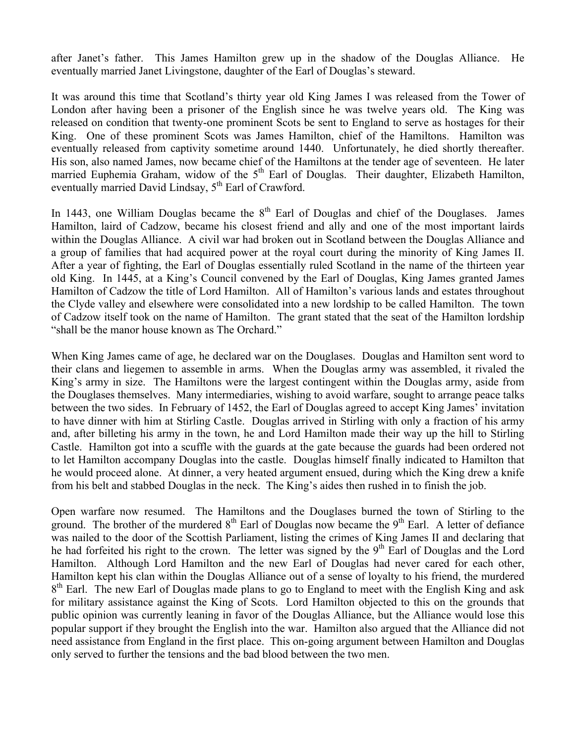after Janet's father. This James Hamilton grew up in the shadow of the Douglas Alliance. He eventually married Janet Livingstone, daughter of the Earl of Douglas's steward.

It was around this time that Scotland's thirty year old King James I was released from the Tower of London after having been a prisoner of the English since he was twelve years old. The King was released on condition that twenty-one prominent Scots be sent to England to serve as hostages for their King. One of these prominent Scots was James Hamilton, chief of the Hamiltons. Hamilton was eventually released from captivity sometime around 1440. Unfortunately, he died shortly thereafter. His son, also named James, now became chief of the Hamiltons at the tender age of seventeen. He later married Euphemia Graham, widow of the 5<sup>th</sup> Earl of Douglas. Their daughter, Elizabeth Hamilton, eventually married David Lindsay,  $5<sup>th</sup>$  Earl of Crawford.

In 1443, one William Douglas became the  $8<sup>th</sup>$  Earl of Douglas and chief of the Douglases. James Hamilton, laird of Cadzow, became his closest friend and ally and one of the most important lairds within the Douglas Alliance. A civil war had broken out in Scotland between the Douglas Alliance and a group of families that had acquired power at the royal court during the minority of King James II. After a year of fighting, the Earl of Douglas essentially ruled Scotland in the name of the thirteen year old King. In 1445, at a King's Council convened by the Earl of Douglas, King James granted James Hamilton of Cadzow the title of Lord Hamilton. All of Hamilton's various lands and estates throughout the Clyde valley and elsewhere were consolidated into a new lordship to be called Hamilton. The town of Cadzow itself took on the name of Hamilton. The grant stated that the seat of the Hamilton lordship "shall be the manor house known as The Orchard."

When King James came of age, he declared war on the Douglases. Douglas and Hamilton sent word to their clans and liegemen to assemble in arms. When the Douglas army was assembled, it rivaled the King's army in size. The Hamiltons were the largest contingent within the Douglas army, aside from the Douglases themselves. Many intermediaries, wishing to avoid warfare, sought to arrange peace talks between the two sides. In February of 1452, the Earl of Douglas agreed to accept King James' invitation to have dinner with him at Stirling Castle. Douglas arrived in Stirling with only a fraction of his army and, after billeting his army in the town, he and Lord Hamilton made their way up the hill to Stirling Castle. Hamilton got into a scuffle with the guards at the gate because the guards had been ordered not to let Hamilton accompany Douglas into the castle. Douglas himself finally indicated to Hamilton that he would proceed alone. At dinner, a very heated argument ensued, during which the King drew a knife from his belt and stabbed Douglas in the neck. The King's aides then rushed in to finish the job.

Open warfare now resumed. The Hamiltons and the Douglases burned the town of Stirling to the ground. The brother of the murdered  $8^{th}$  Earl of Douglas now became the  $9^{th}$  Earl. A letter of defiance was nailed to the door of the Scottish Parliament, listing the crimes of King James II and declaring that he had forfeited his right to the crown. The letter was signed by the 9<sup>th</sup> Earl of Douglas and the Lord Hamilton. Although Lord Hamilton and the new Earl of Douglas had never cared for each other, Hamilton kept his clan within the Douglas Alliance out of a sense of loyalty to his friend, the murdered  $8<sup>th</sup>$  Earl. The new Earl of Douglas made plans to go to England to meet with the English King and ask for military assistance against the King of Scots. Lord Hamilton objected to this on the grounds that public opinion was currently leaning in favor of the Douglas Alliance, but the Alliance would lose this popular support if they brought the English into the war. Hamilton also argued that the Alliance did not need assistance from England in the first place. This on-going argument between Hamilton and Douglas only served to further the tensions and the bad blood between the two men.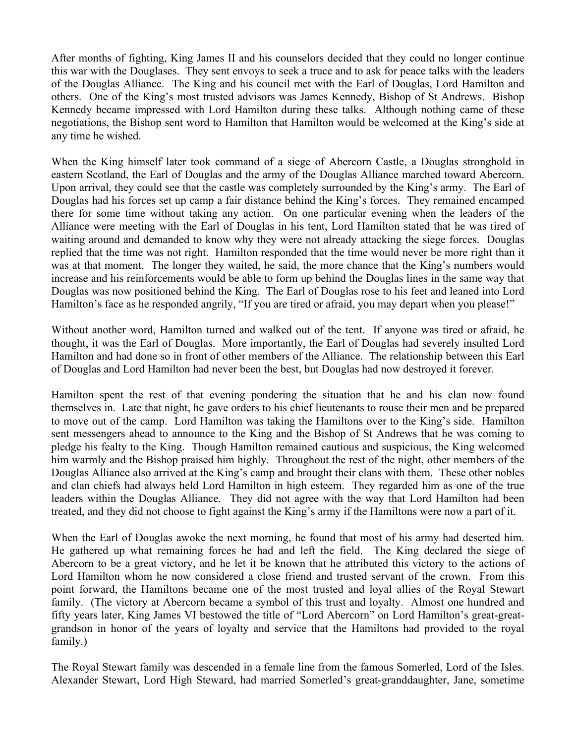After months of fighting, King James II and his counselors decided that they could no longer continue this war with the Douglases. They sent envoys to seek a truce and to ask for peace talks with the leaders of the Douglas Alliance. The King and his council met with the Earl of Douglas, Lord Hamilton and others. One of the King's most trusted advisors was James Kennedy, Bishop of St Andrews. Bishop Kennedy became impressed with Lord Hamilton during these talks. Although nothing came of these negotiations, the Bishop sent word to Hamilton that Hamilton would be welcomed at the King's side at any time he wished.

When the King himself later took command of a siege of Abercorn Castle, a Douglas stronghold in eastern Scotland, the Earl of Douglas and the army of the Douglas Alliance marched toward Abercorn. Upon arrival, they could see that the castle was completely surrounded by the King's army. The Earl of Douglas had his forces set up camp a fair distance behind the King's forces. They remained encamped there for some time without taking any action. On one particular evening when the leaders of the Alliance were meeting with the Earl of Douglas in his tent, Lord Hamilton stated that he was tired of waiting around and demanded to know why they were not already attacking the siege forces. Douglas replied that the time was not right. Hamilton responded that the time would never be more right than it was at that moment. The longer they waited, he said, the more chance that the King's numbers would increase and his reinforcements would be able to form up behind the Douglas lines in the same way that Douglas was now positioned behind the King. The Earl of Douglas rose to his feet and leaned into Lord Hamilton's face as he responded angrily, "If you are tired or afraid, you may depart when you please!"

Without another word, Hamilton turned and walked out of the tent. If anyone was tired or afraid, he thought, it was the Earl of Douglas. More importantly, the Earl of Douglas had severely insulted Lord Hamilton and had done so in front of other members of the Alliance. The relationship between this Earl of Douglas and Lord Hamilton had never been the best, but Douglas had now destroyed it forever.

Hamilton spent the rest of that evening pondering the situation that he and his clan now found themselves in. Late that night, he gave orders to his chief lieutenants to rouse their men and be prepared to move out of the camp. Lord Hamilton was taking the Hamiltons over to the King's side. Hamilton sent messengers ahead to announce to the King and the Bishop of St Andrews that he was coming to pledge his fealty to the King. Though Hamilton remained cautious and suspicious, the King welcomed him warmly and the Bishop praised him highly. Throughout the rest of the night, other members of the Douglas Alliance also arrived at the King's camp and brought their clans with them. These other nobles and clan chiefs had always held Lord Hamilton in high esteem. They regarded him as one of the true leaders within the Douglas Alliance. They did not agree with the way that Lord Hamilton had been treated, and they did not choose to fight against the King's army if the Hamiltons were now a part of it.

When the Earl of Douglas awoke the next morning, he found that most of his army had deserted him. He gathered up what remaining forces he had and left the field. The King declared the siege of Abercorn to be a great victory, and he let it be known that he attributed this victory to the actions of Lord Hamilton whom he now considered a close friend and trusted servant of the crown. From this point forward, the Hamiltons became one of the most trusted and loyal allies of the Royal Stewart family. (The victory at Abercorn became a symbol of this trust and loyalty. Almost one hundred and fifty years later, King James VI bestowed the title of "Lord Abercorn" on Lord Hamilton's great-greatgrandson in honor of the years of loyalty and service that the Hamiltons had provided to the royal family.)

The Royal Stewart family was descended in a female line from the famous Somerled, Lord of the Isles. Alexander Stewart, Lord High Steward, had married Somerled's great-granddaughter, Jane, sometime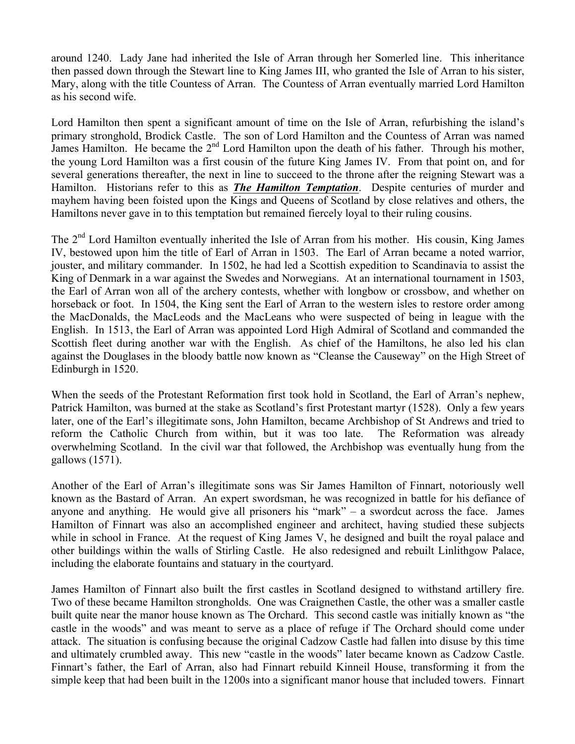around 1240. Lady Jane had inherited the Isle of Arran through her Somerled line. This inheritance then passed down through the Stewart line to King James III, who granted the Isle of Arran to his sister, Mary, along with the title Countess of Arran. The Countess of Arran eventually married Lord Hamilton as his second wife.

Lord Hamilton then spent a significant amount of time on the Isle of Arran, refurbishing the island's primary stronghold, Brodick Castle. The son of Lord Hamilton and the Countess of Arran was named James Hamilton. He became the 2<sup>nd</sup> Lord Hamilton upon the death of his father. Through his mother, the young Lord Hamilton was a first cousin of the future King James IV. From that point on, and for several generations thereafter, the next in line to succeed to the throne after the reigning Stewart was a Hamilton. Historians refer to this as *The Hamilton Temptation*. Despite centuries of murder and mayhem having been foisted upon the Kings and Queens of Scotland by close relatives and others, the Hamiltons never gave in to this temptation but remained fiercely loyal to their ruling cousins.

The 2<sup>nd</sup> Lord Hamilton eventually inherited the Isle of Arran from his mother. His cousin, King James IV, bestowed upon him the title of Earl of Arran in 1503. The Earl of Arran became a noted warrior, jouster, and military commander. In 1502, he had led a Scottish expedition to Scandinavia to assist the King of Denmark in a war against the Swedes and Norwegians. At an international tournament in 1503, the Earl of Arran won all of the archery contests, whether with longbow or crossbow, and whether on horseback or foot. In 1504, the King sent the Earl of Arran to the western isles to restore order among the MacDonalds, the MacLeods and the MacLeans who were suspected of being in league with the English. In 1513, the Earl of Arran was appointed Lord High Admiral of Scotland and commanded the Scottish fleet during another war with the English. As chief of the Hamiltons, he also led his clan against the Douglases in the bloody battle now known as "Cleanse the Causeway" on the High Street of Edinburgh in 1520.

When the seeds of the Protestant Reformation first took hold in Scotland, the Earl of Arran's nephew, Patrick Hamilton, was burned at the stake as Scotland's first Protestant martyr (1528). Only a few years later, one of the Earl's illegitimate sons, John Hamilton, became Archbishop of St Andrews and tried to reform the Catholic Church from within, but it was too late. The Reformation was already overwhelming Scotland. In the civil war that followed, the Archbishop was eventually hung from the gallows (1571).

Another of the Earl of Arran's illegitimate sons was Sir James Hamilton of Finnart, notoriously well known as the Bastard of Arran. An expert swordsman, he was recognized in battle for his defiance of anyone and anything. He would give all prisoners his "mark" – a swordcut across the face. James Hamilton of Finnart was also an accomplished engineer and architect, having studied these subjects while in school in France. At the request of King James V, he designed and built the royal palace and other buildings within the walls of Stirling Castle. He also redesigned and rebuilt Linlithgow Palace, including the elaborate fountains and statuary in the courtyard.

James Hamilton of Finnart also built the first castles in Scotland designed to withstand artillery fire. Two of these became Hamilton strongholds. One was Craignethen Castle, the other was a smaller castle built quite near the manor house known as The Orchard. This second castle was initially known as "the castle in the woods" and was meant to serve as a place of refuge if The Orchard should come under attack. The situation is confusing because the original Cadzow Castle had fallen into disuse by this time and ultimately crumbled away. This new "castle in the woods" later became known as Cadzow Castle. Finnart's father, the Earl of Arran, also had Finnart rebuild Kinneil House, transforming it from the simple keep that had been built in the 1200s into a significant manor house that included towers. Finnart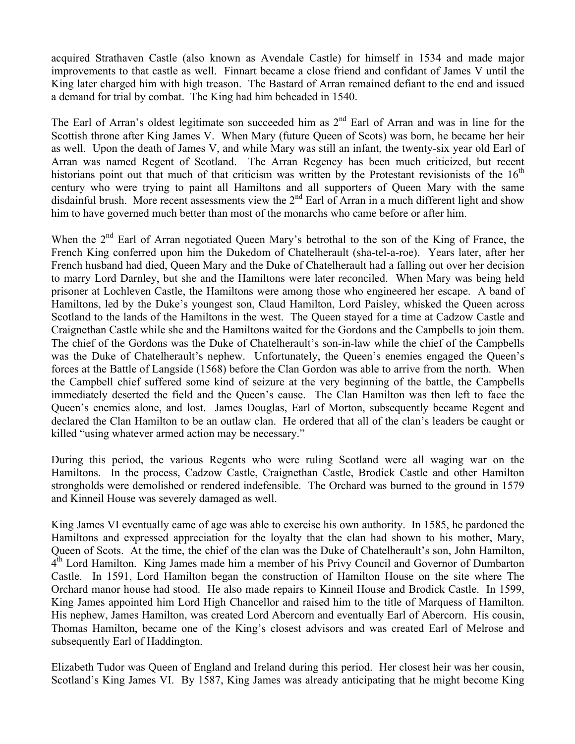acquired Strathaven Castle (also known as Avendale Castle) for himself in 1534 and made major improvements to that castle as well. Finnart became a close friend and confidant of James V until the King later charged him with high treason. The Bastard of Arran remained defiant to the end and issued a demand for trial by combat. The King had him beheaded in 1540.

The Earl of Arran's oldest legitimate son succeeded him as  $2<sup>nd</sup>$  Earl of Arran and was in line for the Scottish throne after King James V. When Mary (future Queen of Scots) was born, he became her heir as well. Upon the death of James V, and while Mary was still an infant, the twenty-six year old Earl of Arran was named Regent of Scotland. The Arran Regency has been much criticized, but recent historians point out that much of that criticism was written by the Protestant revisionists of the  $16<sup>th</sup>$ century who were trying to paint all Hamiltons and all supporters of Queen Mary with the same disdainful brush. More recent assessments view the 2<sup>nd</sup> Earl of Arran in a much different light and show him to have governed much better than most of the monarchs who came before or after him.

When the  $2<sup>nd</sup>$  Earl of Arran negotiated Queen Mary's betrothal to the son of the King of France, the French King conferred upon him the Dukedom of Chatelherault (sha-tel-a-roe). Years later, after her French husband had died, Queen Mary and the Duke of Chatelherault had a falling out over her decision to marry Lord Darnley, but she and the Hamiltons were later reconciled. When Mary was being held prisoner at Lochleven Castle, the Hamiltons were among those who engineered her escape. A band of Hamiltons, led by the Duke's youngest son, Claud Hamilton, Lord Paisley, whisked the Queen across Scotland to the lands of the Hamiltons in the west. The Queen stayed for a time at Cadzow Castle and Craignethan Castle while she and the Hamiltons waited for the Gordons and the Campbells to join them. The chief of the Gordons was the Duke of Chatelherault's son-in-law while the chief of the Campbells was the Duke of Chatelherault's nephew. Unfortunately, the Queen's enemies engaged the Queen's forces at the Battle of Langside (1568) before the Clan Gordon was able to arrive from the north. When the Campbell chief suffered some kind of seizure at the very beginning of the battle, the Campbells immediately deserted the field and the Queen's cause. The Clan Hamilton was then left to face the Queen's enemies alone, and lost. James Douglas, Earl of Morton, subsequently became Regent and declared the Clan Hamilton to be an outlaw clan. He ordered that all of the clan's leaders be caught or killed "using whatever armed action may be necessary."

During this period, the various Regents who were ruling Scotland were all waging war on the Hamiltons. In the process, Cadzow Castle, Craignethan Castle, Brodick Castle and other Hamilton strongholds were demolished or rendered indefensible. The Orchard was burned to the ground in 1579 and Kinneil House was severely damaged as well.

King James VI eventually came of age was able to exercise his own authority. In 1585, he pardoned the Hamiltons and expressed appreciation for the loyalty that the clan had shown to his mother, Mary, Queen of Scots. At the time, the chief of the clan was the Duke of Chatelherault's son, John Hamilton, 4<sup>th</sup> Lord Hamilton. King James made him a member of his Privy Council and Governor of Dumbarton Castle. In 1591, Lord Hamilton began the construction of Hamilton House on the site where The Orchard manor house had stood. He also made repairs to Kinneil House and Brodick Castle. In 1599, King James appointed him Lord High Chancellor and raised him to the title of Marquess of Hamilton. His nephew, James Hamilton, was created Lord Abercorn and eventually Earl of Abercorn. His cousin, Thomas Hamilton, became one of the King's closest advisors and was created Earl of Melrose and subsequently Earl of Haddington.

Elizabeth Tudor was Queen of England and Ireland during this period. Her closest heir was her cousin, Scotland's King James VI. By 1587, King James was already anticipating that he might become King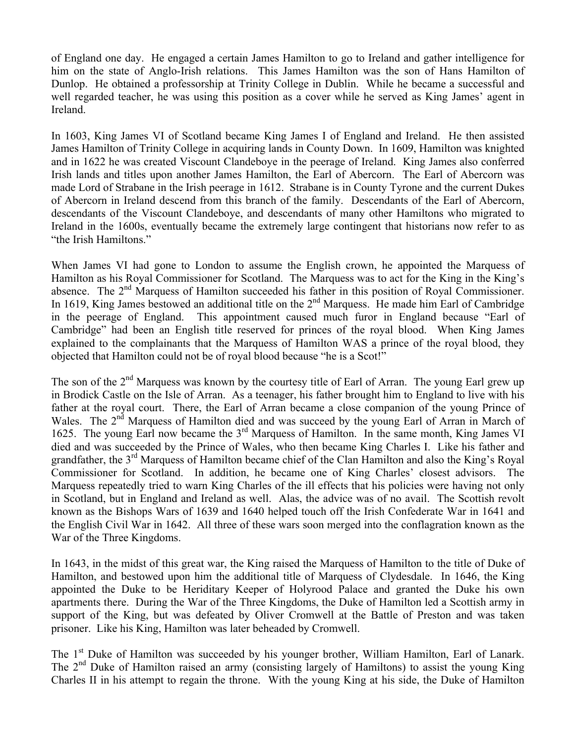of England one day. He engaged a certain James Hamilton to go to Ireland and gather intelligence for him on the state of Anglo-Irish relations. This James Hamilton was the son of Hans Hamilton of Dunlop. He obtained a professorship at Trinity College in Dublin. While he became a successful and well regarded teacher, he was using this position as a cover while he served as King James' agent in Ireland.

In 1603, King James VI of Scotland became King James I of England and Ireland. He then assisted James Hamilton of Trinity College in acquiring lands in County Down. In 1609, Hamilton was knighted and in 1622 he was created Viscount Clandeboye in the peerage of Ireland. King James also conferred Irish lands and titles upon another James Hamilton, the Earl of Abercorn. The Earl of Abercorn was made Lord of Strabane in the Irish peerage in 1612. Strabane is in County Tyrone and the current Dukes of Abercorn in Ireland descend from this branch of the family. Descendants of the Earl of Abercorn, descendants of the Viscount Clandeboye, and descendants of many other Hamiltons who migrated to Ireland in the 1600s, eventually became the extremely large contingent that historians now refer to as "the Irish Hamiltons."

When James VI had gone to London to assume the English crown, he appointed the Marquess of Hamilton as his Royal Commissioner for Scotland. The Marquess was to act for the King in the King's absence. The 2<sup>nd</sup> Marquess of Hamilton succeeded his father in this position of Royal Commissioner. In 1619, King James bestowed an additional title on the  $2<sup>nd</sup>$  Marquess. He made him Earl of Cambridge in the peerage of England. This appointment caused much furor in England because "Earl of Cambridge" had been an English title reserved for princes of the royal blood. When King James explained to the complainants that the Marquess of Hamilton WAS a prince of the royal blood, they objected that Hamilton could not be of royal blood because "he is a Scot!"

The son of the  $2<sup>nd</sup>$  Marquess was known by the courtesy title of Earl of Arran. The young Earl grew up in Brodick Castle on the Isle of Arran. As a teenager, his father brought him to England to live with his father at the royal court. There, the Earl of Arran became a close companion of the young Prince of Wales. The 2<sup>nd</sup> Marquess of Hamilton died and was succeed by the young Earl of Arran in March of 1625. The young Earl now became the 3rd Marquess of Hamilton. In the same month, King James VI died and was succeeded by the Prince of Wales, who then became King Charles I. Like his father and grandfather, the 3<sup>rd</sup> Marquess of Hamilton became chief of the Clan Hamilton and also the King's Royal Commissioner for Scotland. In addition, he became one of King Charles' closest advisors. The Marquess repeatedly tried to warn King Charles of the ill effects that his policies were having not only in Scotland, but in England and Ireland as well. Alas, the advice was of no avail. The Scottish revolt known as the Bishops Wars of 1639 and 1640 helped touch off the Irish Confederate War in 1641 and the English Civil War in 1642. All three of these wars soon merged into the conflagration known as the War of the Three Kingdoms.

In 1643, in the midst of this great war, the King raised the Marquess of Hamilton to the title of Duke of Hamilton, and bestowed upon him the additional title of Marquess of Clydesdale. In 1646, the King appointed the Duke to be Heriditary Keeper of Holyrood Palace and granted the Duke his own apartments there. During the War of the Three Kingdoms, the Duke of Hamilton led a Scottish army in support of the King, but was defeated by Oliver Cromwell at the Battle of Preston and was taken prisoner. Like his King, Hamilton was later beheaded by Cromwell.

The 1<sup>st</sup> Duke of Hamilton was succeeded by his younger brother, William Hamilton, Earl of Lanark. The  $2<sup>nd</sup>$  Duke of Hamilton raised an army (consisting largely of Hamiltons) to assist the young King Charles II in his attempt to regain the throne. With the young King at his side, the Duke of Hamilton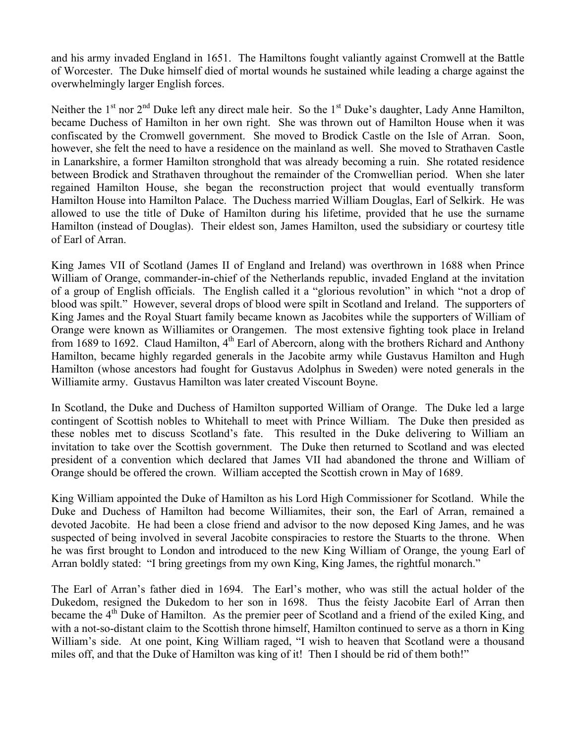and his army invaded England in 1651. The Hamiltons fought valiantly against Cromwell at the Battle of Worcester. The Duke himself died of mortal wounds he sustained while leading a charge against the overwhelmingly larger English forces.

Neither the  $1<sup>st</sup>$  nor  $2<sup>nd</sup>$  Duke left any direct male heir. So the  $1<sup>st</sup>$  Duke's daughter, Lady Anne Hamilton, became Duchess of Hamilton in her own right. She was thrown out of Hamilton House when it was confiscated by the Cromwell government. She moved to Brodick Castle on the Isle of Arran. Soon, however, she felt the need to have a residence on the mainland as well. She moved to Strathaven Castle in Lanarkshire, a former Hamilton stronghold that was already becoming a ruin. She rotated residence between Brodick and Strathaven throughout the remainder of the Cromwellian period. When she later regained Hamilton House, she began the reconstruction project that would eventually transform Hamilton House into Hamilton Palace. The Duchess married William Douglas, Earl of Selkirk. He was allowed to use the title of Duke of Hamilton during his lifetime, provided that he use the surname Hamilton (instead of Douglas). Their eldest son, James Hamilton, used the subsidiary or courtesy title of Earl of Arran.

King James VII of Scotland (James II of England and Ireland) was overthrown in 1688 when Prince William of Orange, commander-in-chief of the Netherlands republic, invaded England at the invitation of a group of English officials. The English called it a "glorious revolution" in which "not a drop of blood was spilt." However, several drops of blood were spilt in Scotland and Ireland. The supporters of King James and the Royal Stuart family became known as Jacobites while the supporters of William of Orange were known as Williamites or Orangemen. The most extensive fighting took place in Ireland from 1689 to 1692. Claud Hamilton, 4<sup>th</sup> Earl of Abercorn, along with the brothers Richard and Anthony Hamilton, became highly regarded generals in the Jacobite army while Gustavus Hamilton and Hugh Hamilton (whose ancestors had fought for Gustavus Adolphus in Sweden) were noted generals in the Williamite army. Gustavus Hamilton was later created Viscount Boyne.

In Scotland, the Duke and Duchess of Hamilton supported William of Orange. The Duke led a large contingent of Scottish nobles to Whitehall to meet with Prince William. The Duke then presided as these nobles met to discuss Scotland's fate. This resulted in the Duke delivering to William an invitation to take over the Scottish government. The Duke then returned to Scotland and was elected president of a convention which declared that James VII had abandoned the throne and William of Orange should be offered the crown. William accepted the Scottish crown in May of 1689.

King William appointed the Duke of Hamilton as his Lord High Commissioner for Scotland. While the Duke and Duchess of Hamilton had become Williamites, their son, the Earl of Arran, remained a devoted Jacobite. He had been a close friend and advisor to the now deposed King James, and he was suspected of being involved in several Jacobite conspiracies to restore the Stuarts to the throne. When he was first brought to London and introduced to the new King William of Orange, the young Earl of Arran boldly stated: "I bring greetings from my own King, King James, the rightful monarch."

The Earl of Arran's father died in 1694. The Earl's mother, who was still the actual holder of the Dukedom, resigned the Dukedom to her son in 1698. Thus the feisty Jacobite Earl of Arran then became the  $4<sup>th</sup>$  Duke of Hamilton. As the premier peer of Scotland and a friend of the exiled King, and with a not-so-distant claim to the Scottish throne himself, Hamilton continued to serve as a thorn in King William's side. At one point, King William raged, "I wish to heaven that Scotland were a thousand miles off, and that the Duke of Hamilton was king of it! Then I should be rid of them both!"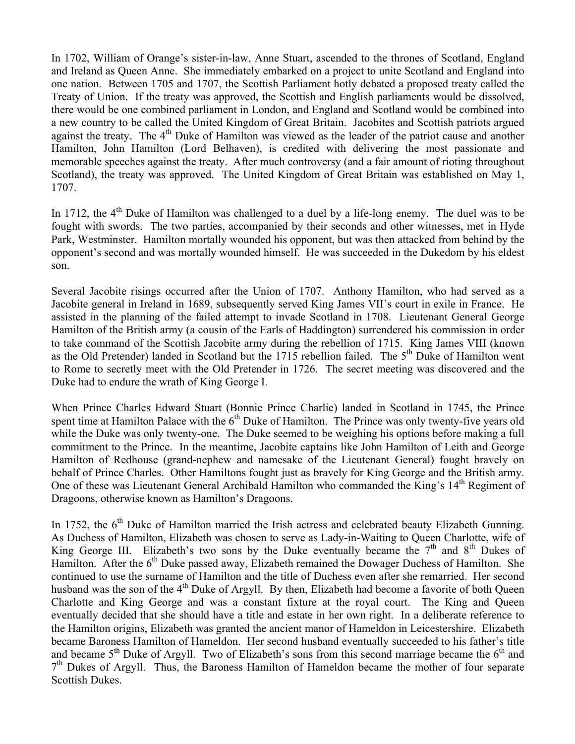In 1702, William of Orange's sister-in-law, Anne Stuart, ascended to the thrones of Scotland, England and Ireland as Queen Anne. She immediately embarked on a project to unite Scotland and England into one nation. Between 1705 and 1707, the Scottish Parliament hotly debated a proposed treaty called the Treaty of Union. If the treaty was approved, the Scottish and English parliaments would be dissolved, there would be one combined parliament in London, and England and Scotland would be combined into a new country to be called the United Kingdom of Great Britain. Jacobites and Scottish patriots argued against the treaty. The  $4<sup>th</sup>$  Duke of Hamilton was viewed as the leader of the patriot cause and another Hamilton, John Hamilton (Lord Belhaven), is credited with delivering the most passionate and memorable speeches against the treaty. After much controversy (and a fair amount of rioting throughout Scotland), the treaty was approved. The United Kingdom of Great Britain was established on May 1, 1707.

In 1712, the  $4<sup>th</sup>$  Duke of Hamilton was challenged to a duel by a life-long enemy. The duel was to be fought with swords. The two parties, accompanied by their seconds and other witnesses, met in Hyde Park, Westminster. Hamilton mortally wounded his opponent, but was then attacked from behind by the opponent's second and was mortally wounded himself. He was succeeded in the Dukedom by his eldest son.

Several Jacobite risings occurred after the Union of 1707. Anthony Hamilton, who had served as a Jacobite general in Ireland in 1689, subsequently served King James VII's court in exile in France. He assisted in the planning of the failed attempt to invade Scotland in 1708. Lieutenant General George Hamilton of the British army (a cousin of the Earls of Haddington) surrendered his commission in order to take command of the Scottish Jacobite army during the rebellion of 1715. King James VIII (known as the Old Pretender) landed in Scotland but the 1715 rebellion failed. The  $5<sup>th</sup>$  Duke of Hamilton went to Rome to secretly meet with the Old Pretender in 1726. The secret meeting was discovered and the Duke had to endure the wrath of King George I.

When Prince Charles Edward Stuart (Bonnie Prince Charlie) landed in Scotland in 1745, the Prince spent time at Hamilton Palace with the 6<sup>th</sup> Duke of Hamilton. The Prince was only twenty-five years old while the Duke was only twenty-one. The Duke seemed to be weighing his options before making a full commitment to the Prince. In the meantime, Jacobite captains like John Hamilton of Leith and George Hamilton of Redhouse (grand-nephew and namesake of the Lieutenant General) fought bravely on behalf of Prince Charles. Other Hamiltons fought just as bravely for King George and the British army. One of these was Lieutenant General Archibald Hamilton who commanded the King's 14<sup>th</sup> Regiment of Dragoons, otherwise known as Hamilton's Dragoons.

In 1752, the  $6<sup>th</sup>$  Duke of Hamilton married the Irish actress and celebrated beauty Elizabeth Gunning. As Duchess of Hamilton, Elizabeth was chosen to serve as Lady-in-Waiting to Queen Charlotte, wife of King George III. Elizabeth's two sons by the Duke eventually became the  $7<sup>th</sup>$  and  $8<sup>th</sup>$  Dukes of Hamilton. After the  $6<sup>th</sup>$  Duke passed away, Elizabeth remained the Dowager Duchess of Hamilton. She continued to use the surname of Hamilton and the title of Duchess even after she remarried. Her second husband was the son of the 4<sup>th</sup> Duke of Argyll. By then, Elizabeth had become a favorite of both Queen Charlotte and King George and was a constant fixture at the royal court. The King and Queen eventually decided that she should have a title and estate in her own right. In a deliberate reference to the Hamilton origins, Elizabeth was granted the ancient manor of Hameldon in Leicestershire. Elizabeth became Baroness Hamilton of Hameldon. Her second husband eventually succeeded to his father's title and became  $5<sup>th</sup>$  Duke of Argyll. Two of Elizabeth's sons from this second marriage became the  $6<sup>th</sup>$  and  $7<sup>th</sup>$  Dukes of Argyll. Thus, the Baroness Hamilton of Hameldon became the mother of four separate Scottish Dukes.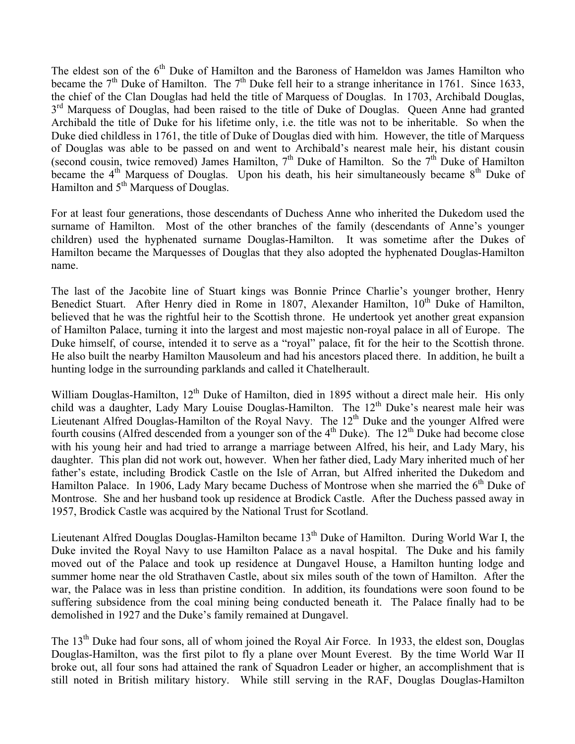The eldest son of the 6<sup>th</sup> Duke of Hamilton and the Baroness of Hameldon was James Hamilton who became the  $7<sup>th</sup>$  Duke of Hamilton. The  $7<sup>th</sup>$  Duke fell heir to a strange inheritance in 1761. Since 1633, the chief of the Clan Douglas had held the title of Marquess of Douglas. In 1703, Archibald Douglas, 3<sup>rd</sup> Marquess of Douglas, had been raised to the title of Duke of Douglas. Queen Anne had granted Archibald the title of Duke for his lifetime only, i.e. the title was not to be inheritable. So when the Duke died childless in 1761, the title of Duke of Douglas died with him. However, the title of Marquess of Douglas was able to be passed on and went to Archibald's nearest male heir, his distant cousin (second cousin, twice removed) James Hamilton,  $7<sup>th</sup>$  Duke of Hamilton. So the  $7<sup>th</sup>$  Duke of Hamilton became the  $4<sup>th</sup>$  Marquess of Douglas. Upon his death, his heir simultaneously became  $8<sup>th</sup>$  Duke of Hamilton and 5<sup>th</sup> Marquess of Douglas.

For at least four generations, those descendants of Duchess Anne who inherited the Dukedom used the surname of Hamilton. Most of the other branches of the family (descendants of Anne's younger children) used the hyphenated surname Douglas-Hamilton. It was sometime after the Dukes of Hamilton became the Marquesses of Douglas that they also adopted the hyphenated Douglas-Hamilton name.

The last of the Jacobite line of Stuart kings was Bonnie Prince Charlie's younger brother, Henry Benedict Stuart. After Henry died in Rome in 1807, Alexander Hamilton,  $10^{th}$  Duke of Hamilton, believed that he was the rightful heir to the Scottish throne. He undertook yet another great expansion of Hamilton Palace, turning it into the largest and most majestic non-royal palace in all of Europe. The Duke himself, of course, intended it to serve as a "royal" palace, fit for the heir to the Scottish throne. He also built the nearby Hamilton Mausoleum and had his ancestors placed there. In addition, he built a hunting lodge in the surrounding parklands and called it Chatelherault.

William Douglas-Hamilton, 12<sup>th</sup> Duke of Hamilton, died in 1895 without a direct male heir. His only child was a daughter, Lady Mary Louise Douglas-Hamilton. The 12<sup>th</sup> Duke's nearest male heir was Lieutenant Alfred Douglas-Hamilton of the Royal Navy. The 12<sup>th</sup> Duke and the younger Alfred were fourth cousins (Alfred descended from a younger son of the  $4<sup>th</sup>$  Duke). The  $12<sup>th</sup>$  Duke had become close with his young heir and had tried to arrange a marriage between Alfred, his heir, and Lady Mary, his daughter. This plan did not work out, however. When her father died, Lady Mary inherited much of her father's estate, including Brodick Castle on the Isle of Arran, but Alfred inherited the Dukedom and Hamilton Palace. In 1906, Lady Mary became Duchess of Montrose when she married the  $6<sup>th</sup>$  Duke of Montrose. She and her husband took up residence at Brodick Castle. After the Duchess passed away in 1957, Brodick Castle was acquired by the National Trust for Scotland.

Lieutenant Alfred Douglas Douglas-Hamilton became 13<sup>th</sup> Duke of Hamilton. During World War I, the Duke invited the Royal Navy to use Hamilton Palace as a naval hospital. The Duke and his family moved out of the Palace and took up residence at Dungavel House, a Hamilton hunting lodge and summer home near the old Strathaven Castle, about six miles south of the town of Hamilton. After the war, the Palace was in less than pristine condition. In addition, its foundations were soon found to be suffering subsidence from the coal mining being conducted beneath it. The Palace finally had to be demolished in 1927 and the Duke's family remained at Dungavel.

The 13<sup>th</sup> Duke had four sons, all of whom joined the Royal Air Force. In 1933, the eldest son, Douglas Douglas-Hamilton, was the first pilot to fly a plane over Mount Everest. By the time World War II broke out, all four sons had attained the rank of Squadron Leader or higher, an accomplishment that is still noted in British military history. While still serving in the RAF, Douglas Douglas-Hamilton